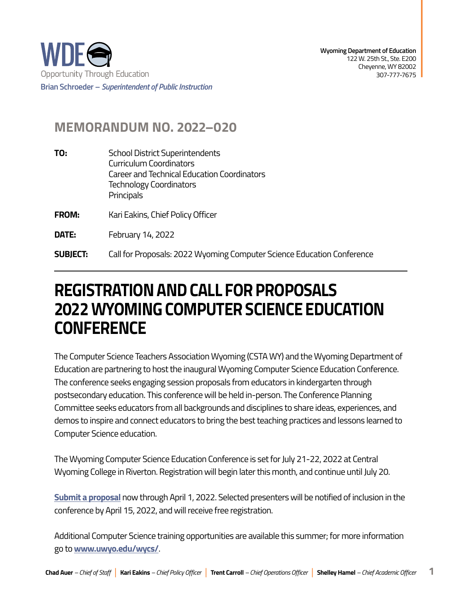

## **MEMORANDUM NO. 2022–020**

- **TO:** School District Superintendents Curriculum Coordinators Career and Technical Education Coordinators Technology Coordinators **Principals**
- **FROM:** Kari Eakins, Chief Policy Officer
- **DATE:** February 14, 2022

**SUBIECT: SUBJECT:** Call for Proposals: 2022 Wyoming Computer Science Education Conference

## **REGISTRATION AND CALL FOR PROPOSALS 2022 WYOMING COMPUTER SCIENCE EDUCATION CONFERENCE**

The Computer Science Teachers Association Wyoming (CSTA WY) and the Wyoming Department of Education are partnering to host the inaugural Wyoming Computer Science Education Conference. The conference seeks engaging session proposals from educators in kindergarten through postsecondary education. This conference will be held in-person. The Conference Planning Committee seeks educators from all backgrounds and disciplines to share ideas, experiences, and demos to inspire and connect educators to bring the best teaching practices and lessons learned to Computer Science education.

 Wyoming College in Riverton. Registration will begin later this month, and continue until July 20. The Wyoming Computer Science Education Conference is set for July 21-22, 2022 at Central

**[Submit a proposal](https://forms.gle/24HSgL6imd38eYU67)** now through April 1, 2022. Selected presenters will be notified of inclusion in the conference by April 15, 2022, and will receive free registration.

Additional Computer Science training opportunities are available this summer; for more information go to **[www.uwyo.edu/wycs/](https://www.uwyo.edu/wycs/)**.